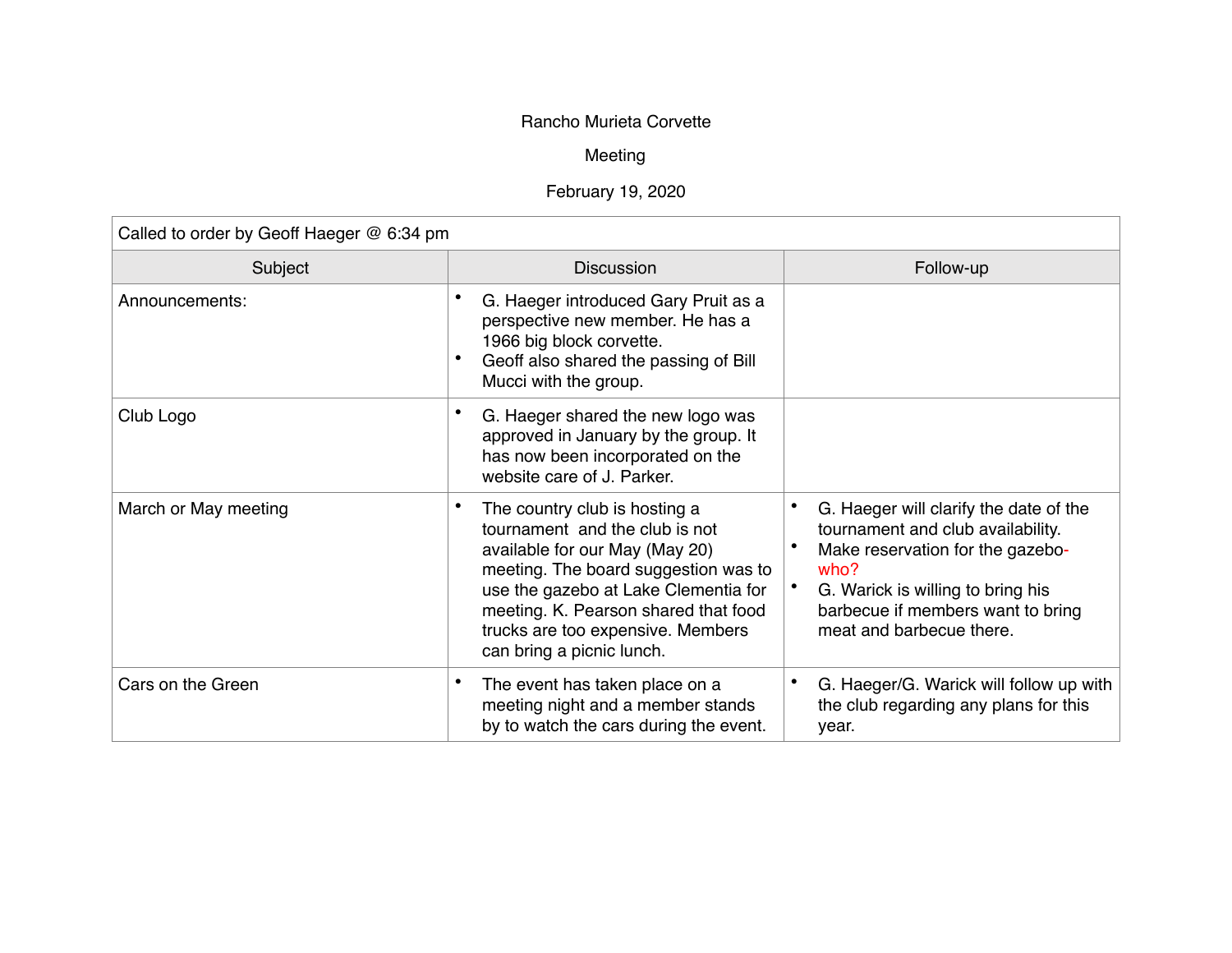## Rancho Murieta Corvette

## Meeting

## February 19, 2020

| Called to order by Geoff Haeger @ 6:34 pm |                                                                                                                                                                                                                                                                                             |                                                                                                                                                                                                                               |  |  |
|-------------------------------------------|---------------------------------------------------------------------------------------------------------------------------------------------------------------------------------------------------------------------------------------------------------------------------------------------|-------------------------------------------------------------------------------------------------------------------------------------------------------------------------------------------------------------------------------|--|--|
| Subject                                   | <b>Discussion</b>                                                                                                                                                                                                                                                                           | Follow-up                                                                                                                                                                                                                     |  |  |
| Announcements:                            | G. Haeger introduced Gary Pruit as a<br>perspective new member. He has a<br>1966 big block corvette.<br>Geoff also shared the passing of Bill<br>Mucci with the group.                                                                                                                      |                                                                                                                                                                                                                               |  |  |
| Club Logo                                 | G. Haeger shared the new logo was<br>approved in January by the group. It<br>has now been incorporated on the<br>website care of J. Parker.                                                                                                                                                 |                                                                                                                                                                                                                               |  |  |
| March or May meeting                      | The country club is hosting a<br>tournament and the club is not<br>available for our May (May 20)<br>meeting. The board suggestion was to<br>use the gazebo at Lake Clementia for<br>meeting. K. Pearson shared that food<br>trucks are too expensive. Members<br>can bring a picnic lunch. | G. Haeger will clarify the date of the<br>tournament and club availability.<br>Make reservation for the gazebo-<br>who?<br>G. Warick is willing to bring his<br>barbecue if members want to bring<br>meat and barbecue there. |  |  |
| Cars on the Green                         | The event has taken place on a<br>meeting night and a member stands<br>by to watch the cars during the event.                                                                                                                                                                               | G. Haeger/G. Warick will follow up with<br>the club regarding any plans for this<br>year.                                                                                                                                     |  |  |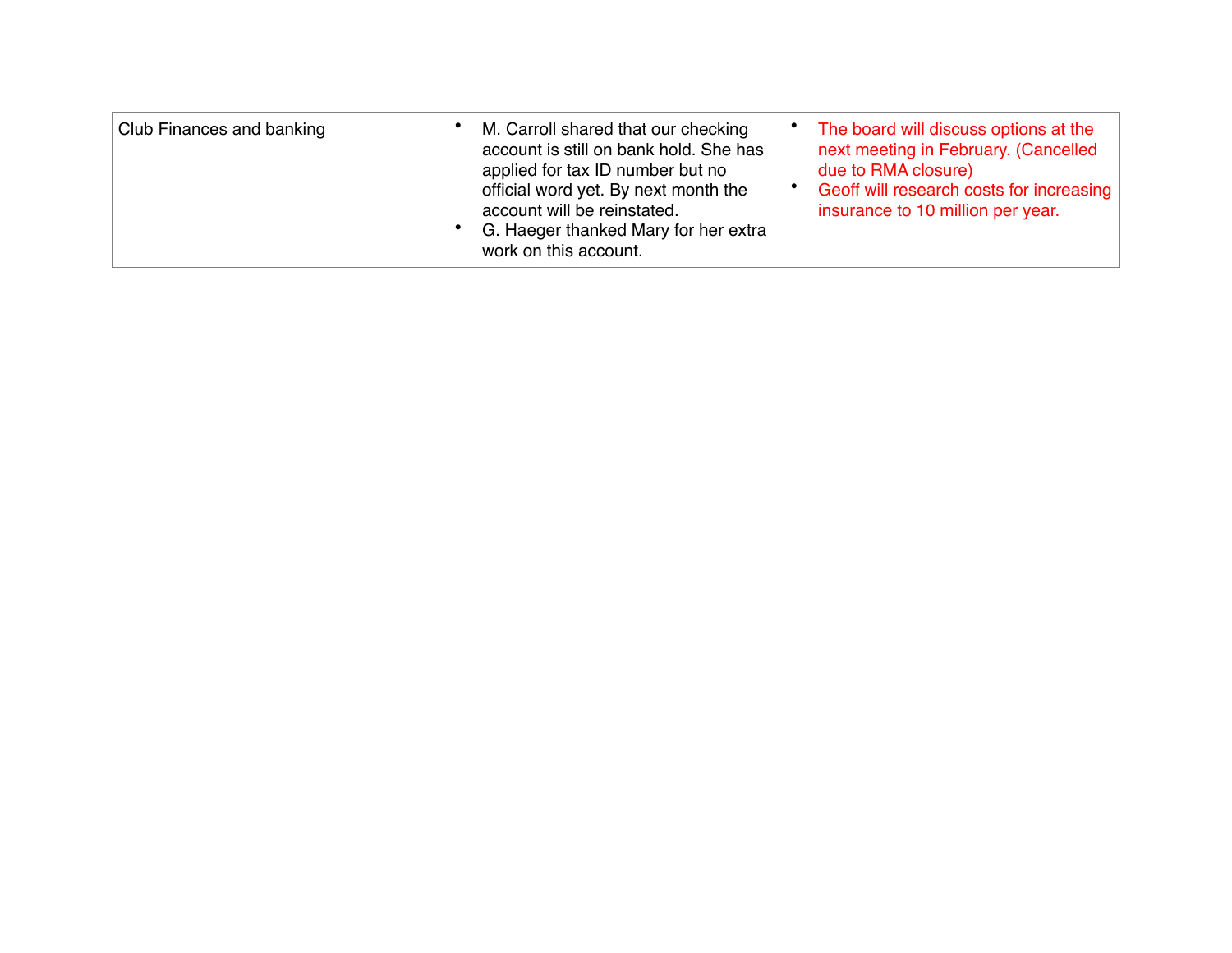| Club Finances and banking | M. Carroll shared that our checking<br>account is still on bank hold. She has<br>applied for tax ID number but no<br>official word yet. By next month the<br>account will be reinstated.<br>G. Haeger thanked Mary for her extra<br>work on this account. | The board will discuss options at the<br>next meeting in February. (Cancelled<br>due to RMA closure)<br>Geoff will research costs for increasing<br>insurance to 10 million per year. |
|---------------------------|-----------------------------------------------------------------------------------------------------------------------------------------------------------------------------------------------------------------------------------------------------------|---------------------------------------------------------------------------------------------------------------------------------------------------------------------------------------|
|---------------------------|-----------------------------------------------------------------------------------------------------------------------------------------------------------------------------------------------------------------------------------------------------------|---------------------------------------------------------------------------------------------------------------------------------------------------------------------------------------|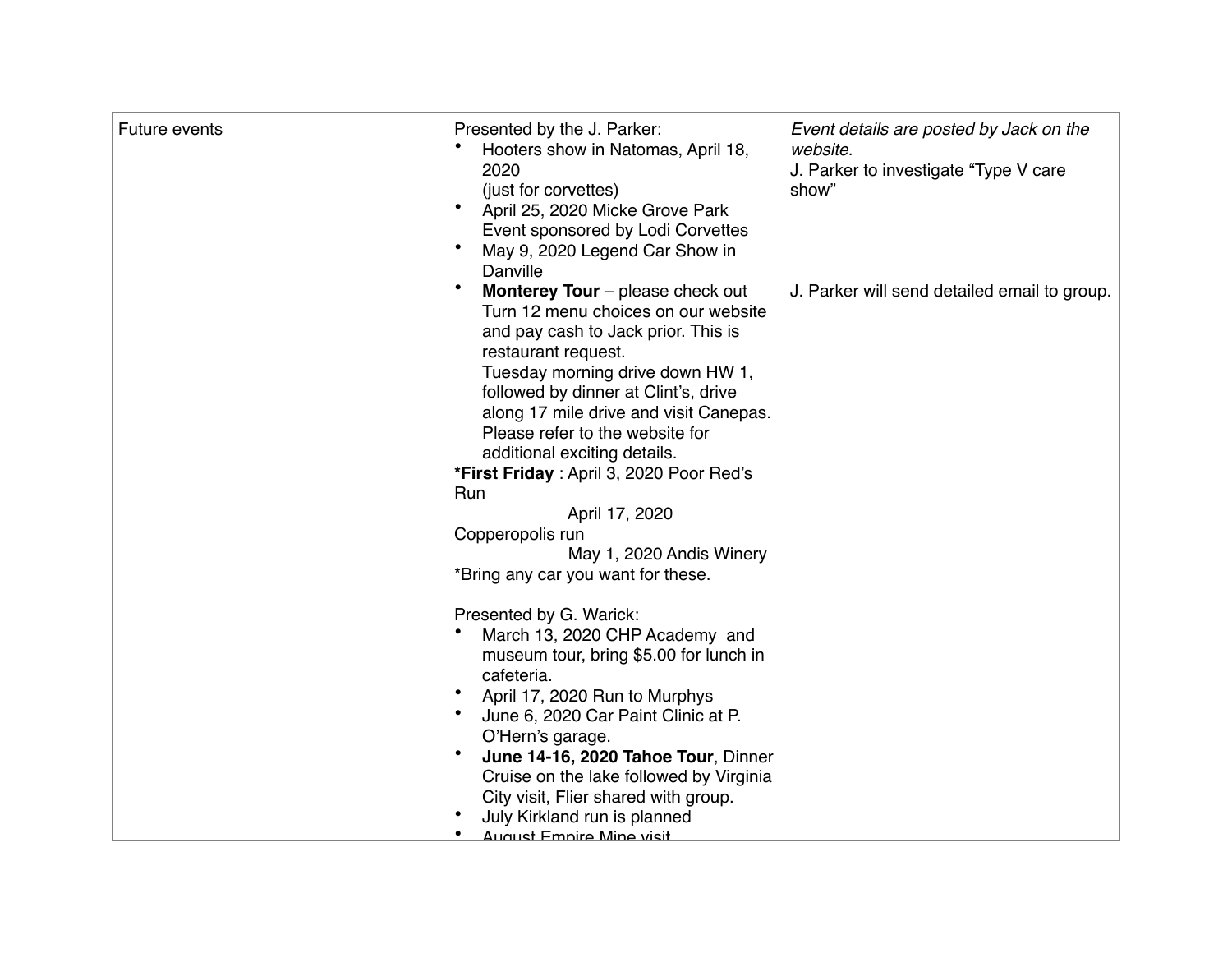| Future events | Presented by the J. Parker:<br>Hooters show in Natomas, April 18,<br>2020<br>(just for corvettes)<br>April 25, 2020 Micke Grove Park<br>Event sponsored by Lodi Corvettes<br>May 9, 2020 Legend Car Show in<br>Danville                                                                                                                                                                                                                                                                                                                                            | Event details are posted by Jack on the<br>website.<br>J. Parker to investigate "Type V care<br>show" |
|---------------|--------------------------------------------------------------------------------------------------------------------------------------------------------------------------------------------------------------------------------------------------------------------------------------------------------------------------------------------------------------------------------------------------------------------------------------------------------------------------------------------------------------------------------------------------------------------|-------------------------------------------------------------------------------------------------------|
|               | $\bullet$<br>Monterey Tour - please check out<br>Turn 12 menu choices on our website<br>and pay cash to Jack prior. This is<br>restaurant request.<br>Tuesday morning drive down HW 1,<br>followed by dinner at Clint's, drive<br>along 17 mile drive and visit Canepas.<br>Please refer to the website for<br>additional exciting details.<br>*First Friday: April 3, 2020 Poor Red's<br>Run<br>April 17, 2020<br>Copperopolis run<br>May 1, 2020 Andis Winery<br>*Bring any car you want for these.<br>Presented by G. Warick:<br>March 13, 2020 CHP Academy and | J. Parker will send detailed email to group.                                                          |
|               | museum tour, bring \$5.00 for lunch in<br>cafeteria.<br>$\bullet$<br>April 17, 2020 Run to Murphys<br>$\bullet$<br>June 6, 2020 Car Paint Clinic at P.<br>O'Hern's garage.<br>$\bullet$<br>June 14-16, 2020 Tahoe Tour, Dinner<br>Cruise on the lake followed by Virginia<br>City visit, Flier shared with group.<br>July Kirkland run is planned<br>$\bullet$<br>August Empire Mine visit                                                                                                                                                                         |                                                                                                       |